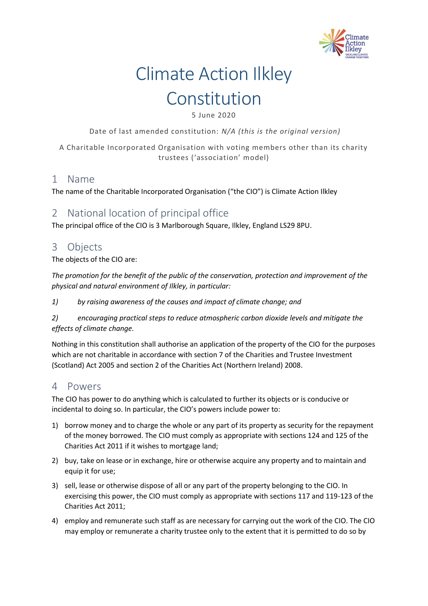

# Climate Action Ilkley Constitution

5 June 2020

Date of last amended constitution: *N/A (this is the original version)*

A Charitable Incorporated Organisation with voting members other than its charity trustees ('association' model)

### 1 Name

The name of the Charitable Incorporated Organisation ("the CIO") is Climate Action Ilkley

# 2 National location of principal office

The principal office of the CIO is 3 Marlborough Square, Ilkley, England LS29 8PU.

### 3 Objects

The objects of the CIO are:

*The promotion for the benefit of the public of the conservation, protection and improvement of the physical and natural environment of Ilkley, in particular:*

*1) by raising awareness of the causes and impact of climate change; and*

*2) encouraging practical steps to reduce atmospheric carbon dioxide levels and mitigate the effects of climate change.*

Nothing in this constitution shall authorise an application of the property of the CIO for the purposes which are not charitable in accordance with section 7 of the Charities and Trustee Investment (Scotland) Act 2005 and section 2 of the Charities Act (Northern Ireland) 2008.

### 4 Powers

The CIO has power to do anything which is calculated to further its objects or is conducive or incidental to doing so. In particular, the CIO's powers include power to:

- 1) borrow money and to charge the whole or any part of its property as security for the repayment of the money borrowed. The CIO must comply as appropriate with sections 124 and 125 of the Charities Act 2011 if it wishes to mortgage land;
- 2) buy, take on lease or in exchange, hire or otherwise acquire any property and to maintain and equip it for use;
- 3) sell, lease or otherwise dispose of all or any part of the property belonging to the CIO. In exercising this power, the CIO must comply as appropriate with sections 117 and 119-123 of the Charities Act 2011;
- 4) employ and remunerate such staff as are necessary for carrying out the work of the CIO. The CIO may employ or remunerate a charity trustee only to the extent that it is permitted to do so by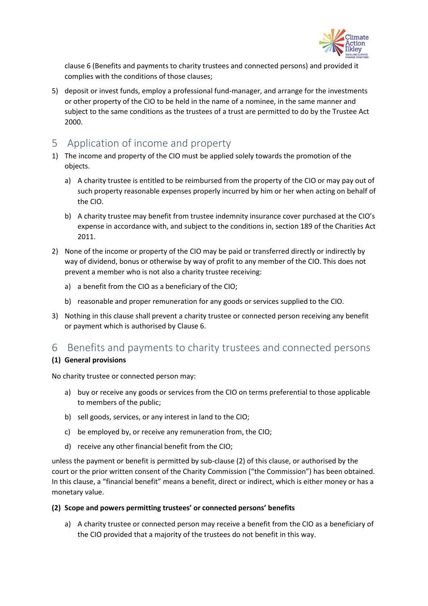

clause 6 (Benefits and payments to charity trustees and connected persons) and provided it complies with the conditions of those clauses;

5) deposit or invest funds, employ a professional fund-manager, and arrange for the investments or other property of the CIO to be held in the name of a nominee, in the same manner and subject to the same conditions as the trustees of a trust are permitted to do by the Trustee Act 2000.

# 5 Application of income and property

- 1) The income and property of the CIO must be applied solely towards the promotion of the objects.
	- a) A charity trustee is entitled to be reimbursed from the property of the CIO or may pay out of such property reasonable expenses properly incurred by him or her when acting on behalf of the CIO.
	- b) A charity trustee may benefit from trustee indemnity insurance cover purchased at the CIO's expense in accordance with, and subject to the conditions in, section 189 of the Charities Act 2011.
- 2) None of the income or property of the CIO may be paid or transferred directly or indirectly by way of dividend, bonus or otherwise by way of profit to any member of the CIO. This does not prevent a member who is not also a charity trustee receiving:
	- a) a benefit from the CIO as a beneficiary of the CIO;
	- b) reasonable and proper remuneration for any goods or services supplied to the CIO.
- 3) Nothing in this clause shall prevent a charity trustee or connected person receiving any benefit or payment which is authorised by Clause 6.

### 6 Benefits and payments to charity trustees and connected persons

#### **(1) General provisions**

No charity trustee or connected person may:

- a) buy or receive any goods or services from the CIO on terms preferential to those applicable to members of the public;
- b) sell goods, services, or any interest in land to the CIO;
- c) be employed by, or receive any remuneration from, the CIO;
- d) receive any other financial benefit from the CIO;

unless the payment or benefit is permitted by sub-clause (2) of this clause, or authorised by the court or the prior written consent of the Charity Commission ("the Commission") has been obtained. In this clause, a "financial benefit" means a benefit, direct or indirect, which is either money or has a monetary value.

#### **(2) Scope and powers permitting trustees' or connected persons' benefits**

a) A charity trustee or connected person may receive a benefit from the CIO as a beneficiary of the CIO provided that a majority of the trustees do not benefit in this way.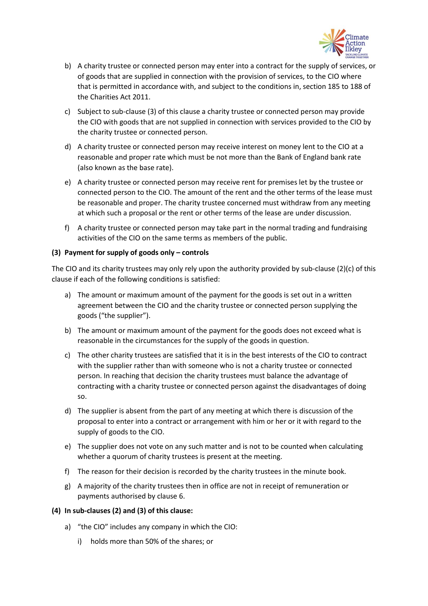

- b) A charity trustee or connected person may enter into a contract for the supply of services, or of goods that are supplied in connection with the provision of services, to the CIO where that is permitted in accordance with, and subject to the conditions in, section 185 to 188 of the Charities Act 2011.
- c) Subject to sub-clause (3) of this clause a charity trustee or connected person may provide the CIO with goods that are not supplied in connection with services provided to the CIO by the charity trustee or connected person.
- d) A charity trustee or connected person may receive interest on money lent to the CIO at a reasonable and proper rate which must be not more than the Bank of England bank rate (also known as the base rate).
- e) A charity trustee or connected person may receive rent for premises let by the trustee or connected person to the CIO. The amount of the rent and the other terms of the lease must be reasonable and proper. The charity trustee concerned must withdraw from any meeting at which such a proposal or the rent or other terms of the lease are under discussion.
- f) A charity trustee or connected person may take part in the normal trading and fundraising activities of the CIO on the same terms as members of the public.

#### **(3) Payment for supply of goods only – controls**

The CIO and its charity trustees may only rely upon the authority provided by sub-clause (2)(c) of this clause if each of the following conditions is satisfied:

- a) The amount or maximum amount of the payment for the goods is set out in a written agreement between the CIO and the charity trustee or connected person supplying the goods ("the supplier").
- b) The amount or maximum amount of the payment for the goods does not exceed what is reasonable in the circumstances for the supply of the goods in question.
- c) The other charity trustees are satisfied that it is in the best interests of the CIO to contract with the supplier rather than with someone who is not a charity trustee or connected person. In reaching that decision the charity trustees must balance the advantage of contracting with a charity trustee or connected person against the disadvantages of doing so.
- d) The supplier is absent from the part of any meeting at which there is discussion of the proposal to enter into a contract or arrangement with him or her or it with regard to the supply of goods to the CIO.
- e) The supplier does not vote on any such matter and is not to be counted when calculating whether a quorum of charity trustees is present at the meeting.
- f) The reason for their decision is recorded by the charity trustees in the minute book.
- g) A majority of the charity trustees then in office are not in receipt of remuneration or payments authorised by clause 6.

#### **(4) In sub-clauses (2) and (3) of this clause:**

- a) "the CIO" includes any company in which the CIO:
	- i) holds more than 50% of the shares; or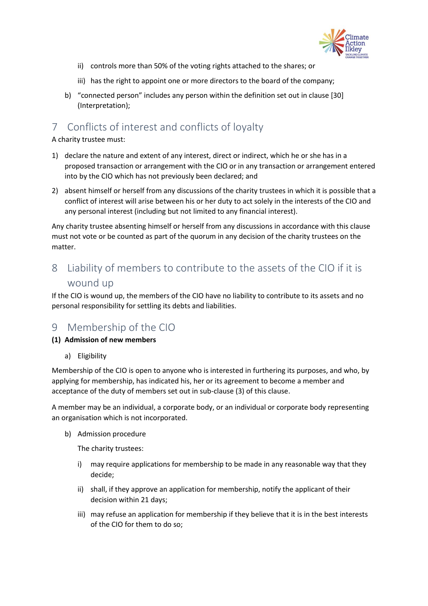

- ii) controls more than 50% of the voting rights attached to the shares; or
- iii) has the right to appoint one or more directors to the board of the company;
- b) "connected person" includes any person within the definition set out in clause [30] (Interpretation);

# 7 Conflicts of interest and conflicts of loyalty

### A charity trustee must:

- 1) declare the nature and extent of any interest, direct or indirect, which he or she has in a proposed transaction or arrangement with the CIO or in any transaction or arrangement entered into by the CIO which has not previously been declared; and
- 2) absent himself or herself from any discussions of the charity trustees in which it is possible that a conflict of interest will arise between his or her duty to act solely in the interests of the CIO and any personal interest (including but not limited to any financial interest).

Any charity trustee absenting himself or herself from any discussions in accordance with this clause must not vote or be counted as part of the quorum in any decision of the charity trustees on the matter.

# 8 Liability of members to contribute to the assets of the CIO if it is wound up

If the CIO is wound up, the members of the CIO have no liability to contribute to its assets and no personal responsibility for settling its debts and liabilities.

# 9 Membership of the CIO

### **(1) Admission of new members**

a) Eligibility

Membership of the CIO is open to anyone who is interested in furthering its purposes, and who, by applying for membership, has indicated his, her or its agreement to become a member and acceptance of the duty of members set out in sub-clause (3) of this clause.

A member may be an individual, a corporate body, or an individual or corporate body representing an organisation which is not incorporated.

b) Admission procedure

The charity trustees:

- i) may require applications for membership to be made in any reasonable way that they decide;
- ii) shall, if they approve an application for membership, notify the applicant of their decision within 21 days;
- iii) may refuse an application for membership if they believe that it is in the best interests of the CIO for them to do so;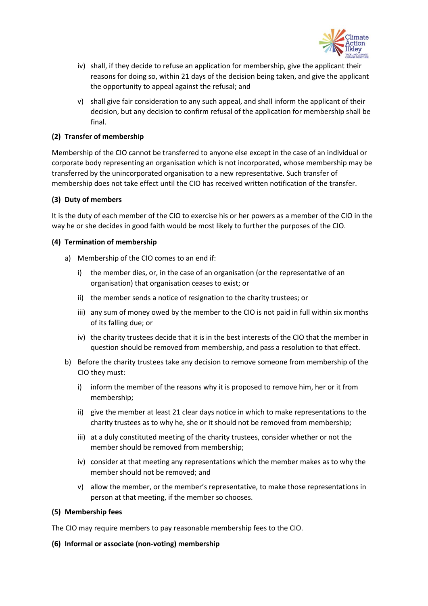

- iv) shall, if they decide to refuse an application for membership, give the applicant their reasons for doing so, within 21 days of the decision being taken, and give the applicant the opportunity to appeal against the refusal; and
- v) shall give fair consideration to any such appeal, and shall inform the applicant of their decision, but any decision to confirm refusal of the application for membership shall be final.

#### **(2) Transfer of membership**

Membership of the CIO cannot be transferred to anyone else except in the case of an individual or corporate body representing an organisation which is not incorporated, whose membership may be transferred by the unincorporated organisation to a new representative. Such transfer of membership does not take effect until the CIO has received written notification of the transfer.

#### **(3) Duty of members**

It is the duty of each member of the CIO to exercise his or her powers as a member of the CIO in the way he or she decides in good faith would be most likely to further the purposes of the CIO.

#### **(4) Termination of membership**

- a) Membership of the CIO comes to an end if:
	- i) the member dies, or, in the case of an organisation (or the representative of an organisation) that organisation ceases to exist; or
	- ii) the member sends a notice of resignation to the charity trustees; or
	- iii) any sum of money owed by the member to the CIO is not paid in full within six months of its falling due; or
	- iv) the charity trustees decide that it is in the best interests of the CIO that the member in question should be removed from membership, and pass a resolution to that effect.
- b) Before the charity trustees take any decision to remove someone from membership of the CIO they must:
	- i) inform the member of the reasons why it is proposed to remove him, her or it from membership;
	- ii) give the member at least 21 clear days notice in which to make representations to the charity trustees as to why he, she or it should not be removed from membership;
	- iii) at a duly constituted meeting of the charity trustees, consider whether or not the member should be removed from membership;
	- iv) consider at that meeting any representations which the member makes as to why the member should not be removed; and
	- v) allow the member, or the member's representative, to make those representations in person at that meeting, if the member so chooses.

#### **(5) Membership fees**

The CIO may require members to pay reasonable membership fees to the CIO.

#### **(6) Informal or associate (non-voting) membership**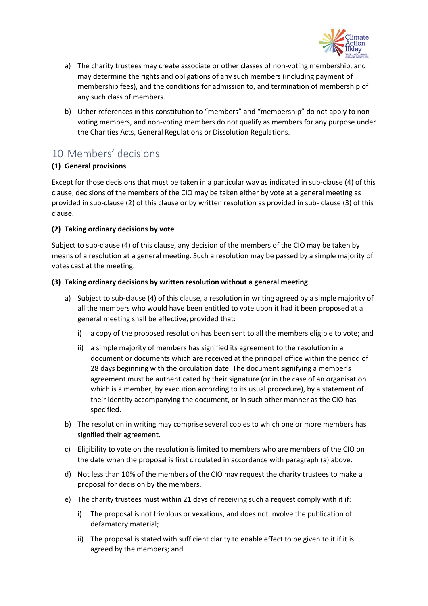

- a) The charity trustees may create associate or other classes of non-voting membership, and may determine the rights and obligations of any such members (including payment of membership fees), and the conditions for admission to, and termination of membership of any such class of members.
- b) Other references in this constitution to "members" and "membership" do not apply to nonvoting members, and non-voting members do not qualify as members for any purpose under the Charities Acts, General Regulations or Dissolution Regulations.

# 10 Members' decisions

### **(1) General provisions**

Except for those decisions that must be taken in a particular way as indicated in sub-clause (4) of this clause, decisions of the members of the CIO may be taken either by vote at a general meeting as provided in sub-clause (2) of this clause or by written resolution as provided in sub- clause (3) of this clause.

### **(2) Taking ordinary decisions by vote**

Subject to sub-clause (4) of this clause, any decision of the members of the CIO may be taken by means of a resolution at a general meeting. Such a resolution may be passed by a simple majority of votes cast at the meeting.

#### **(3) Taking ordinary decisions by written resolution without a general meeting**

- a) Subject to sub-clause (4) of this clause, a resolution in writing agreed by a simple majority of all the members who would have been entitled to vote upon it had it been proposed at a general meeting shall be effective, provided that:
	- i) a copy of the proposed resolution has been sent to all the members eligible to vote; and
	- ii) a simple majority of members has signified its agreement to the resolution in a document or documents which are received at the principal office within the period of 28 days beginning with the circulation date. The document signifying a member's agreement must be authenticated by their signature (or in the case of an organisation which is a member, by execution according to its usual procedure), by a statement of their identity accompanying the document, or in such other manner as the CIO has specified.
- b) The resolution in writing may comprise several copies to which one or more members has signified their agreement.
- c) Eligibility to vote on the resolution is limited to members who are members of the CIO on the date when the proposal is first circulated in accordance with paragraph (a) above.
- d) Not less than 10% of the members of the CIO may request the charity trustees to make a proposal for decision by the members.
- e) The charity trustees must within 21 days of receiving such a request comply with it if:
	- i) The proposal is not frivolous or vexatious, and does not involve the publication of defamatory material;
	- ii) The proposal is stated with sufficient clarity to enable effect to be given to it if it is agreed by the members; and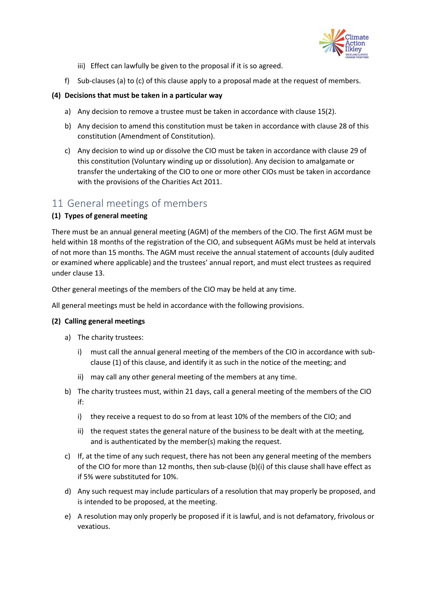

- iii) Effect can lawfully be given to the proposal if it is so agreed.
- f) Sub-clauses (a) to (c) of this clause apply to a proposal made at the request of members.

### **(4) Decisions that must be taken in a particular way**

- a) Any decision to remove a trustee must be taken in accordance with clause 15(2).
- b) Any decision to amend this constitution must be taken in accordance with clause 28 of this constitution (Amendment of Constitution).
- c) Any decision to wind up or dissolve the CIO must be taken in accordance with clause 29 of this constitution (Voluntary winding up or dissolution). Any decision to amalgamate or transfer the undertaking of the CIO to one or more other CIOs must be taken in accordance with the provisions of the Charities Act 2011.

# 11 General meetings of members

### **(1) Types of general meeting**

There must be an annual general meeting (AGM) of the members of the CIO. The first AGM must be held within 18 months of the registration of the CIO, and subsequent AGMs must be held at intervals of not more than 15 months. The AGM must receive the annual statement of accounts (duly audited or examined where applicable) and the trustees' annual report, and must elect trustees as required under clause 13.

Other general meetings of the members of the CIO may be held at any time.

All general meetings must be held in accordance with the following provisions.

#### **(2) Calling general meetings**

- a) The charity trustees:
	- i) must call the annual general meeting of the members of the CIO in accordance with subclause (1) of this clause, and identify it as such in the notice of the meeting; and
	- ii) may call any other general meeting of the members at any time.
- b) The charity trustees must, within 21 days, call a general meeting of the members of the CIO if:
	- i) they receive a request to do so from at least 10% of the members of the CIO; and
	- ii) the request states the general nature of the business to be dealt with at the meeting, and is authenticated by the member(s) making the request.
- c) If, at the time of any such request, there has not been any general meeting of the members of the CIO for more than 12 months, then sub-clause (b)(i) of this clause shall have effect as if 5% were substituted for 10%.
- d) Any such request may include particulars of a resolution that may properly be proposed, and is intended to be proposed, at the meeting.
- e) A resolution may only properly be proposed if it is lawful, and is not defamatory, frivolous or vexatious.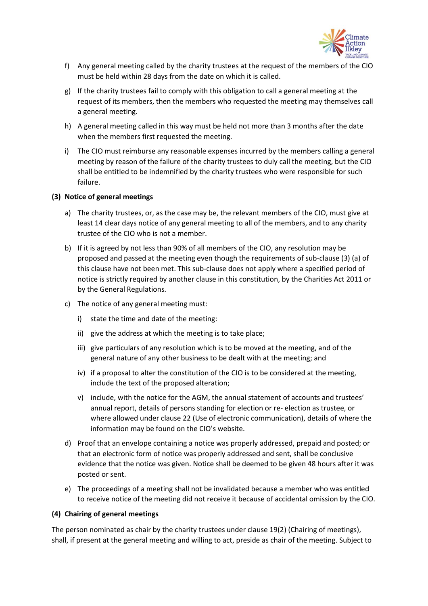

- f) Any general meeting called by the charity trustees at the request of the members of the CIO must be held within 28 days from the date on which it is called.
- g) If the charity trustees fail to comply with this obligation to call a general meeting at the request of its members, then the members who requested the meeting may themselves call a general meeting.
- h) A general meeting called in this way must be held not more than 3 months after the date when the members first requested the meeting.
- i) The CIO must reimburse any reasonable expenses incurred by the members calling a general meeting by reason of the failure of the charity trustees to duly call the meeting, but the CIO shall be entitled to be indemnified by the charity trustees who were responsible for such failure.

#### **(3) Notice of general meetings**

- a) The charity trustees, or, as the case may be, the relevant members of the CIO, must give at least 14 clear days notice of any general meeting to all of the members, and to any charity trustee of the CIO who is not a member.
- b) If it is agreed by not less than 90% of all members of the CIO, any resolution may be proposed and passed at the meeting even though the requirements of sub-clause (3) (a) of this clause have not been met. This sub-clause does not apply where a specified period of notice is strictly required by another clause in this constitution, by the Charities Act 2011 or by the General Regulations.
- c) The notice of any general meeting must:
	- i) state the time and date of the meeting:
	- ii) give the address at which the meeting is to take place;
	- iii) give particulars of any resolution which is to be moved at the meeting, and of the general nature of any other business to be dealt with at the meeting; and
	- iv) if a proposal to alter the constitution of the CIO is to be considered at the meeting, include the text of the proposed alteration;
	- v) include, with the notice for the AGM, the annual statement of accounts and trustees' annual report, details of persons standing for election or re- election as trustee, or where allowed under clause 22 (Use of electronic communication), details of where the information may be found on the CIO's website.
- d) Proof that an envelope containing a notice was properly addressed, prepaid and posted; or that an electronic form of notice was properly addressed and sent, shall be conclusive evidence that the notice was given. Notice shall be deemed to be given 48 hours after it was posted or sent.
- e) The proceedings of a meeting shall not be invalidated because a member who was entitled to receive notice of the meeting did not receive it because of accidental omission by the CIO.

#### **(4) Chairing of general meetings**

The person nominated as chair by the charity trustees under clause 19(2) (Chairing of meetings), shall, if present at the general meeting and willing to act, preside as chair of the meeting. Subject to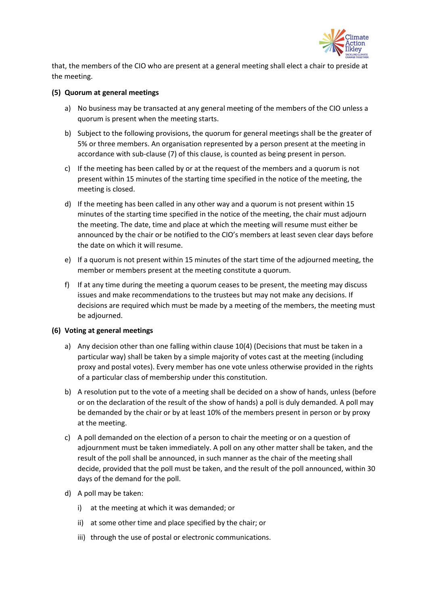

that, the members of the CIO who are present at a general meeting shall elect a chair to preside at the meeting.

#### **(5) Quorum at general meetings**

- a) No business may be transacted at any general meeting of the members of the CIO unless a quorum is present when the meeting starts.
- b) Subject to the following provisions, the quorum for general meetings shall be the greater of 5% or three members. An organisation represented by a person present at the meeting in accordance with sub-clause (7) of this clause, is counted as being present in person.
- c) If the meeting has been called by or at the request of the members and a quorum is not present within 15 minutes of the starting time specified in the notice of the meeting, the meeting is closed.
- d) If the meeting has been called in any other way and a quorum is not present within 15 minutes of the starting time specified in the notice of the meeting, the chair must adjourn the meeting. The date, time and place at which the meeting will resume must either be announced by the chair or be notified to the CIO's members at least seven clear days before the date on which it will resume.
- e) If a quorum is not present within 15 minutes of the start time of the adjourned meeting, the member or members present at the meeting constitute a quorum.
- f) If at any time during the meeting a quorum ceases to be present, the meeting may discuss issues and make recommendations to the trustees but may not make any decisions. If decisions are required which must be made by a meeting of the members, the meeting must be adjourned.

#### **(6) Voting at general meetings**

- a) Any decision other than one falling within clause 10(4) (Decisions that must be taken in a particular way) shall be taken by a simple majority of votes cast at the meeting (including proxy and postal votes). Every member has one vote unless otherwise provided in the rights of a particular class of membership under this constitution.
- b) A resolution put to the vote of a meeting shall be decided on a show of hands, unless (before or on the declaration of the result of the show of hands) a poll is duly demanded. A poll may be demanded by the chair or by at least 10% of the members present in person or by proxy at the meeting.
- c) A poll demanded on the election of a person to chair the meeting or on a question of adjournment must be taken immediately. A poll on any other matter shall be taken, and the result of the poll shall be announced, in such manner as the chair of the meeting shall decide, provided that the poll must be taken, and the result of the poll announced, within 30 days of the demand for the poll.
- d) A poll may be taken:
	- i) at the meeting at which it was demanded; or
	- ii) at some other time and place specified by the chair; or
	- iii) through the use of postal or electronic communications.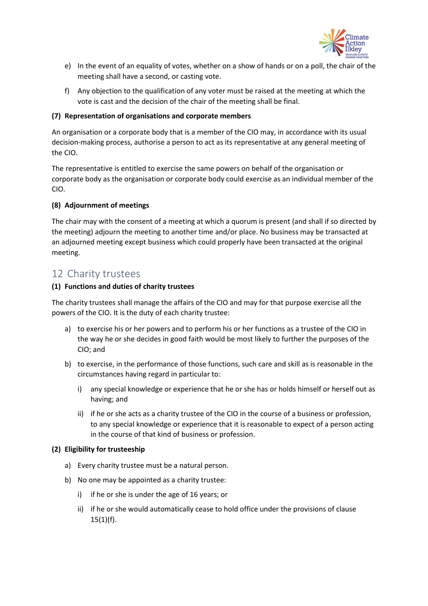

- e) In the event of an equality of votes, whether on a show of hands or on a poll, the chair of the meeting shall have a second, or casting vote.
- f) Any objection to the qualification of any voter must be raised at the meeting at which the vote is cast and the decision of the chair of the meeting shall be final.

#### **(7) Representation of organisations and corporate members**

An organisation or a corporate body that is a member of the CIO may, in accordance with its usual decision-making process, authorise a person to act as its representative at any general meeting of the CIO.

The representative is entitled to exercise the same powers on behalf of the organisation or corporate body as the organisation or corporate body could exercise as an individual member of the CIO.

#### **(8) Adjournment of meetings**

The chair may with the consent of a meeting at which a quorum is present (and shall if so directed by the meeting) adjourn the meeting to another time and/or place. No business may be transacted at an adjourned meeting except business which could properly have been transacted at the original meeting.

### 12 Charity trustees

#### **(1) Functions and duties of charity trustees**

The charity trustees shall manage the affairs of the CIO and may for that purpose exercise all the powers of the CIO. It is the duty of each charity trustee:

- a) to exercise his or her powers and to perform his or her functions as a trustee of the CIO in the way he or she decides in good faith would be most likely to further the purposes of the CIO; and
- b) to exercise, in the performance of those functions, such care and skill as is reasonable in the circumstances having regard in particular to:
	- i) any special knowledge or experience that he or she has or holds himself or herself out as having; and
	- ii) if he or she acts as a charity trustee of the CIO in the course of a business or profession, to any special knowledge or experience that it is reasonable to expect of a person acting in the course of that kind of business or profession.

#### **(2) Eligibility for trusteeship**

- a) Every charity trustee must be a natural person.
- b) No one may be appointed as a charity trustee:
	- i) if he or she is under the age of 16 years; or
	- ii) if he or she would automatically cease to hold office under the provisions of clause  $15(1)(f)$ .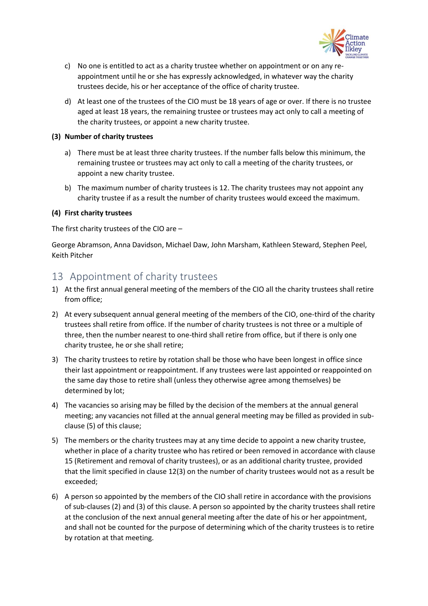

- c) No one is entitled to act as a charity trustee whether on appointment or on any reappointment until he or she has expressly acknowledged, in whatever way the charity trustees decide, his or her acceptance of the office of charity trustee.
- d) At least one of the trustees of the CIO must be 18 years of age or over. If there is no trustee aged at least 18 years, the remaining trustee or trustees may act only to call a meeting of the charity trustees, or appoint a new charity trustee.

#### **(3) Number of charity trustees**

- a) There must be at least three charity trustees. If the number falls below this minimum, the remaining trustee or trustees may act only to call a meeting of the charity trustees, or appoint a new charity trustee.
- b) The maximum number of charity trustees is 12. The charity trustees may not appoint any charity trustee if as a result the number of charity trustees would exceed the maximum.

#### **(4) First charity trustees**

The first charity trustees of the CIO are –

George Abramson, Anna Davidson, Michael Daw, John Marsham, Kathleen Steward, Stephen Peel, Keith Pitcher

### 13 Appointment of charity trustees

- 1) At the first annual general meeting of the members of the CIO all the charity trustees shall retire from office;
- 2) At every subsequent annual general meeting of the members of the CIO, one-third of the charity trustees shall retire from office. If the number of charity trustees is not three or a multiple of three, then the number nearest to one-third shall retire from office, but if there is only one charity trustee, he or she shall retire;
- 3) The charity trustees to retire by rotation shall be those who have been longest in office since their last appointment or reappointment. If any trustees were last appointed or reappointed on the same day those to retire shall (unless they otherwise agree among themselves) be determined by lot;
- 4) The vacancies so arising may be filled by the decision of the members at the annual general meeting; any vacancies not filled at the annual general meeting may be filled as provided in subclause (5) of this clause;
- 5) The members or the charity trustees may at any time decide to appoint a new charity trustee, whether in place of a charity trustee who has retired or been removed in accordance with clause 15 (Retirement and removal of charity trustees), or as an additional charity trustee, provided that the limit specified in clause 12(3) on the number of charity trustees would not as a result be exceeded;
- 6) A person so appointed by the members of the CIO shall retire in accordance with the provisions of sub-clauses (2) and (3) of this clause. A person so appointed by the charity trustees shall retire at the conclusion of the next annual general meeting after the date of his or her appointment, and shall not be counted for the purpose of determining which of the charity trustees is to retire by rotation at that meeting.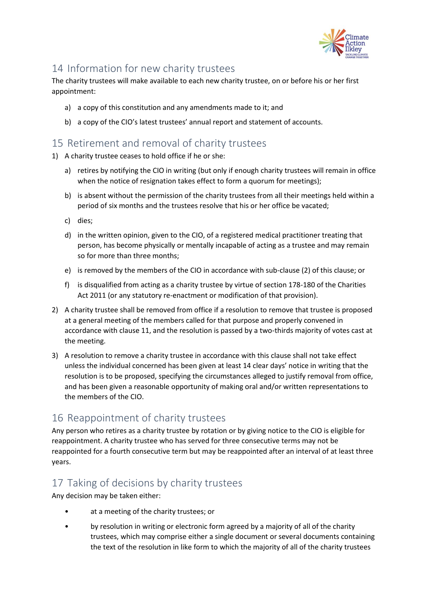

# 14 Information for new charity trustees

The charity trustees will make available to each new charity trustee, on or before his or her first appointment:

- a) a copy of this constitution and any amendments made to it; and
- b) a copy of the CIO's latest trustees' annual report and statement of accounts.

# 15 Retirement and removal of charity trustees

- 1) A charity trustee ceases to hold office if he or she:
	- a) retires by notifying the CIO in writing (but only if enough charity trustees will remain in office when the notice of resignation takes effect to form a quorum for meetings);
	- b) is absent without the permission of the charity trustees from all their meetings held within a period of six months and the trustees resolve that his or her office be vacated;
	- c) dies;
	- d) in the written opinion, given to the CIO, of a registered medical practitioner treating that person, has become physically or mentally incapable of acting as a trustee and may remain so for more than three months;
	- e) is removed by the members of the CIO in accordance with sub-clause (2) of this clause; or
	- f) is disqualified from acting as a charity trustee by virtue of section 178-180 of the Charities Act 2011 (or any statutory re-enactment or modification of that provision).
- 2) A charity trustee shall be removed from office if a resolution to remove that trustee is proposed at a general meeting of the members called for that purpose and properly convened in accordance with clause 11, and the resolution is passed by a two-thirds majority of votes cast at the meeting.
- 3) A resolution to remove a charity trustee in accordance with this clause shall not take effect unless the individual concerned has been given at least 14 clear days' notice in writing that the resolution is to be proposed, specifying the circumstances alleged to justify removal from office, and has been given a reasonable opportunity of making oral and/or written representations to the members of the CIO.

### 16 Reappointment of charity trustees

Any person who retires as a charity trustee by rotation or by giving notice to the CIO is eligible for reappointment. A charity trustee who has served for three consecutive terms may not be reappointed for a fourth consecutive term but may be reappointed after an interval of at least three years.

# 17 Taking of decisions by charity trustees

Any decision may be taken either:

- at a meeting of the charity trustees; or
- by resolution in writing or electronic form agreed by a majority of all of the charity trustees, which may comprise either a single document or several documents containing the text of the resolution in like form to which the majority of all of the charity trustees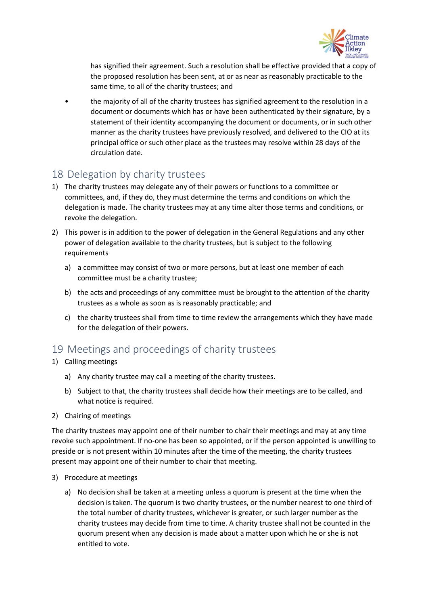

has signified their agreement. Such a resolution shall be effective provided that a copy of the proposed resolution has been sent, at or as near as reasonably practicable to the same time, to all of the charity trustees; and

• the majority of all of the charity trustees has signified agreement to the resolution in a document or documents which has or have been authenticated by their signature, by a statement of their identity accompanying the document or documents, or in such other manner as the charity trustees have previously resolved, and delivered to the CIO at its principal office or such other place as the trustees may resolve within 28 days of the circulation date.

# 18 Delegation by charity trustees

- 1) The charity trustees may delegate any of their powers or functions to a committee or committees, and, if they do, they must determine the terms and conditions on which the delegation is made. The charity trustees may at any time alter those terms and conditions, or revoke the delegation.
- 2) This power is in addition to the power of delegation in the General Regulations and any other power of delegation available to the charity trustees, but is subject to the following requirements
	- a) a committee may consist of two or more persons, but at least one member of each committee must be a charity trustee;
	- b) the acts and proceedings of any committee must be brought to the attention of the charity trustees as a whole as soon as is reasonably practicable; and
	- c) the charity trustees shall from time to time review the arrangements which they have made for the delegation of their powers.

### 19 Meetings and proceedings of charity trustees

#### 1) Calling meetings

- a) Any charity trustee may call a meeting of the charity trustees.
- b) Subject to that, the charity trustees shall decide how their meetings are to be called, and what notice is required.
- 2) Chairing of meetings

The charity trustees may appoint one of their number to chair their meetings and may at any time revoke such appointment. If no-one has been so appointed, or if the person appointed is unwilling to preside or is not present within 10 minutes after the time of the meeting, the charity trustees present may appoint one of their number to chair that meeting.

- 3) Procedure at meetings
	- a) No decision shall be taken at a meeting unless a quorum is present at the time when the decision is taken. The quorum is two charity trustees, or the number nearest to one third of the total number of charity trustees, whichever is greater, or such larger number as the charity trustees may decide from time to time. A charity trustee shall not be counted in the quorum present when any decision is made about a matter upon which he or she is not entitled to vote.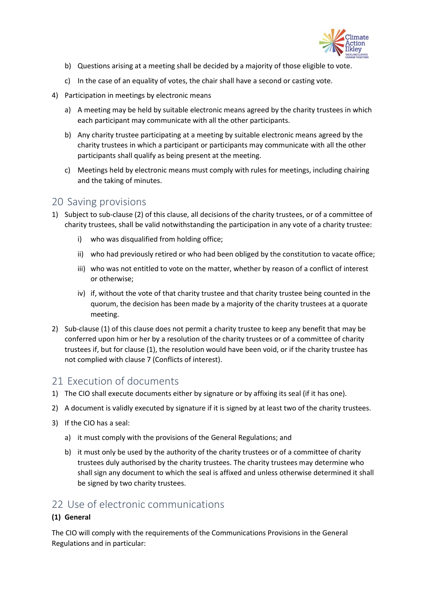

- b) Questions arising at a meeting shall be decided by a majority of those eligible to vote.
- c) In the case of an equality of votes, the chair shall have a second or casting vote.
- 4) Participation in meetings by electronic means
	- a) A meeting may be held by suitable electronic means agreed by the charity trustees in which each participant may communicate with all the other participants.
	- b) Any charity trustee participating at a meeting by suitable electronic means agreed by the charity trustees in which a participant or participants may communicate with all the other participants shall qualify as being present at the meeting.
	- c) Meetings held by electronic means must comply with rules for meetings, including chairing and the taking of minutes.

### 20 Saving provisions

- 1) Subject to sub-clause (2) of this clause, all decisions of the charity trustees, or of a committee of charity trustees, shall be valid notwithstanding the participation in any vote of a charity trustee:
	- i) who was disqualified from holding office;
	- ii) who had previously retired or who had been obliged by the constitution to vacate office;
	- iii) who was not entitled to vote on the matter, whether by reason of a conflict of interest or otherwise;
	- iv) if, without the vote of that charity trustee and that charity trustee being counted in the quorum, the decision has been made by a majority of the charity trustees at a quorate meeting.
- 2) Sub-clause (1) of this clause does not permit a charity trustee to keep any benefit that may be conferred upon him or her by a resolution of the charity trustees or of a committee of charity trustees if, but for clause (1), the resolution would have been void, or if the charity trustee has not complied with clause 7 (Conflicts of interest).

### 21 Execution of documents

- 1) The CIO shall execute documents either by signature or by affixing its seal (if it has one).
- 2) A document is validly executed by signature if it is signed by at least two of the charity trustees.
- 3) If the CIO has a seal:
	- a) it must comply with the provisions of the General Regulations; and
	- b) it must only be used by the authority of the charity trustees or of a committee of charity trustees duly authorised by the charity trustees. The charity trustees may determine who shall sign any document to which the seal is affixed and unless otherwise determined it shall be signed by two charity trustees.

### 22 Use of electronic communications

### **(1) General**

The CIO will comply with the requirements of the Communications Provisions in the General Regulations and in particular: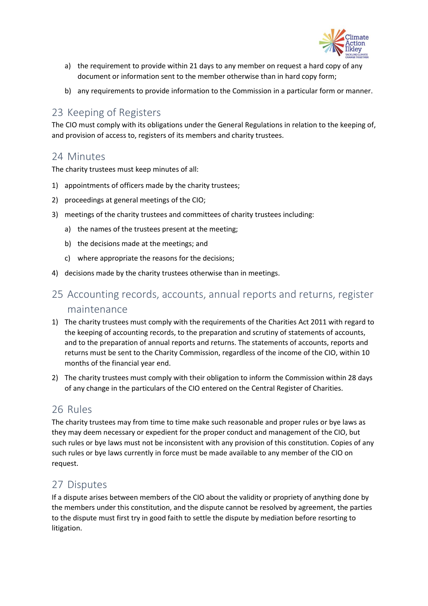

- a) the requirement to provide within 21 days to any member on request a hard copy of any document or information sent to the member otherwise than in hard copy form;
- b) any requirements to provide information to the Commission in a particular form or manner.

# 23 Keeping of Registers

The CIO must comply with its obligations under the General Regulations in relation to the keeping of, and provision of access to, registers of its members and charity trustees.

### 24 Minutes

The charity trustees must keep minutes of all:

- 1) appointments of officers made by the charity trustees;
- 2) proceedings at general meetings of the CIO;
- 3) meetings of the charity trustees and committees of charity trustees including:
	- a) the names of the trustees present at the meeting;
	- b) the decisions made at the meetings; and
	- c) where appropriate the reasons for the decisions;
- 4) decisions made by the charity trustees otherwise than in meetings.
- 25 Accounting records, accounts, annual reports and returns, register maintenance
- 1) The charity trustees must comply with the requirements of the Charities Act 2011 with regard to the keeping of accounting records, to the preparation and scrutiny of statements of accounts, and to the preparation of annual reports and returns. The statements of accounts, reports and returns must be sent to the Charity Commission, regardless of the income of the CIO, within 10 months of the financial year end.
- 2) The charity trustees must comply with their obligation to inform the Commission within 28 days of any change in the particulars of the CIO entered on the Central Register of Charities.

# 26 Rules

The charity trustees may from time to time make such reasonable and proper rules or bye laws as they may deem necessary or expedient for the proper conduct and management of the CIO, but such rules or bye laws must not be inconsistent with any provision of this constitution. Copies of any such rules or bye laws currently in force must be made available to any member of the CIO on request.

### 27 Disputes

If a dispute arises between members of the CIO about the validity or propriety of anything done by the members under this constitution, and the dispute cannot be resolved by agreement, the parties to the dispute must first try in good faith to settle the dispute by mediation before resorting to litigation.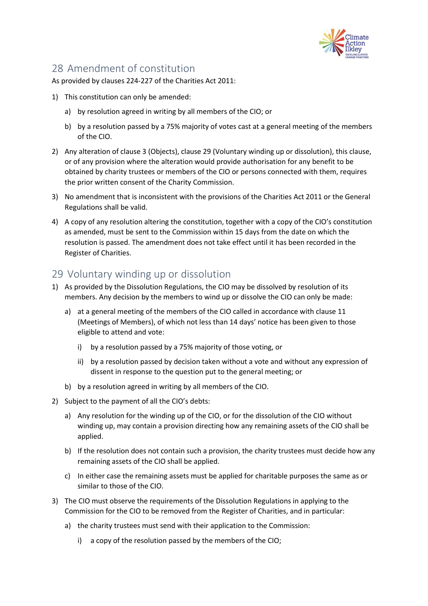

# 28 Amendment of constitution

As provided by clauses 224-227 of the Charities Act 2011:

- 1) This constitution can only be amended:
	- a) by resolution agreed in writing by all members of the CIO; or
	- b) by a resolution passed by a 75% majority of votes cast at a general meeting of the members of the CIO.
- 2) Any alteration of clause 3 (Objects), clause 29 (Voluntary winding up or dissolution), this clause, or of any provision where the alteration would provide authorisation for any benefit to be obtained by charity trustees or members of the CIO or persons connected with them, requires the prior written consent of the Charity Commission.
- 3) No amendment that is inconsistent with the provisions of the Charities Act 2011 or the General Regulations shall be valid.
- 4) A copy of any resolution altering the constitution, together with a copy of the CIO's constitution as amended, must be sent to the Commission within 15 days from the date on which the resolution is passed. The amendment does not take effect until it has been recorded in the Register of Charities.

### 29 Voluntary winding up or dissolution

- 1) As provided by the Dissolution Regulations, the CIO may be dissolved by resolution of its members. Any decision by the members to wind up or dissolve the CIO can only be made:
	- a) at a general meeting of the members of the CIO called in accordance with clause 11 (Meetings of Members), of which not less than 14 days' notice has been given to those eligible to attend and vote:
		- i) by a resolution passed by a 75% majority of those voting, or
		- ii) by a resolution passed by decision taken without a vote and without any expression of dissent in response to the question put to the general meeting; or
	- b) by a resolution agreed in writing by all members of the CIO.
- 2) Subject to the payment of all the CIO's debts:
	- a) Any resolution for the winding up of the CIO, or for the dissolution of the CIO without winding up, may contain a provision directing how any remaining assets of the CIO shall be applied.
	- b) If the resolution does not contain such a provision, the charity trustees must decide how any remaining assets of the CIO shall be applied.
	- c) In either case the remaining assets must be applied for charitable purposes the same as or similar to those of the CIO.
- 3) The CIO must observe the requirements of the Dissolution Regulations in applying to the Commission for the CIO to be removed from the Register of Charities, and in particular:
	- a) the charity trustees must send with their application to the Commission:
		- i) a copy of the resolution passed by the members of the CIO;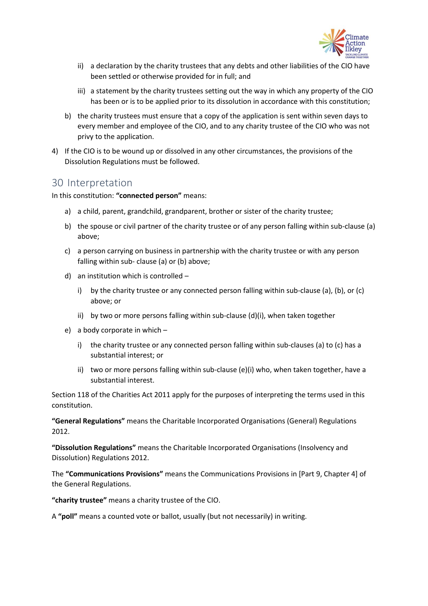

- ii) a declaration by the charity trustees that any debts and other liabilities of the CIO have been settled or otherwise provided for in full; and
- iii) a statement by the charity trustees setting out the way in which any property of the CIO has been or is to be applied prior to its dissolution in accordance with this constitution;
- b) the charity trustees must ensure that a copy of the application is sent within seven days to every member and employee of the CIO, and to any charity trustee of the CIO who was not privy to the application.
- 4) If the CIO is to be wound up or dissolved in any other circumstances, the provisions of the Dissolution Regulations must be followed.

### 30 Interpretation

In this constitution: **"connected person"** means:

- a) a child, parent, grandchild, grandparent, brother or sister of the charity trustee;
- b) the spouse or civil partner of the charity trustee or of any person falling within sub-clause (a) above;
- c) a person carrying on business in partnership with the charity trustee or with any person falling within sub- clause (a) or (b) above;
- d) an institution which is controlled
	- i) by the charity trustee or any connected person falling within sub-clause (a), (b), or (c) above; or
	- ii) by two or more persons falling within sub-clause (d)(i), when taken together
- e) a body corporate in which
	- i) the charity trustee or any connected person falling within sub-clauses (a) to (c) has a substantial interest; or
	- ii) two or more persons falling within sub-clause (e)(i) who, when taken together, have a substantial interest.

Section 118 of the Charities Act 2011 apply for the purposes of interpreting the terms used in this constitution.

**"General Regulations"** means the Charitable Incorporated Organisations (General) Regulations 2012.

**"Dissolution Regulations"** means the Charitable Incorporated Organisations (Insolvency and Dissolution) Regulations 2012.

The **"Communications Provisions"** means the Communications Provisions in [Part 9, Chapter 4] of the General Regulations.

**"charity trustee"** means a charity trustee of the CIO.

A **"poll"** means a counted vote or ballot, usually (but not necessarily) in writing.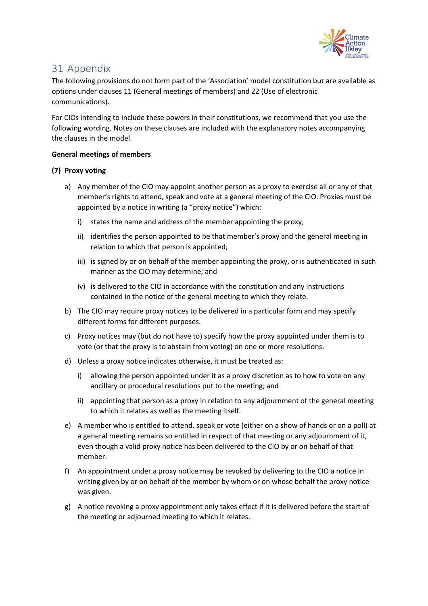

# 31 Appendix

The following provisions do not form part of the 'Association' model constitution but are available as options under clauses 11 (General meetings of members) and 22 (Use of electronic communications).

For CIOs intending to include these powers in their constitutions, we recommend that you use the following wording. Notes on these clauses are included with the explanatory notes accompanying the clauses in the model.

### **General meetings of members**

### **(7) Proxy voting**

- a) Any member of the CIO may appoint another person as a proxy to exercise all or any of that member's rights to attend, speak and vote at a general meeting of the CIO. Proxies must be appointed by a notice in writing (a "proxy notice") which:
	- i) states the name and address of the member appointing the proxy;
	- ii) identifies the person appointed to be that member's proxy and the general meeting in relation to which that person is appointed;
	- iii) is signed by or on behalf of the member appointing the proxy, or is authenticated in such manner as the CIO may determine; and
	- iv) is delivered to the CIO in accordance with the constitution and any instructions contained in the notice of the general meeting to which they relate.
- b) The CIO may require proxy notices to be delivered in a particular form and may specify different forms for different purposes.
- c) Proxy notices may (but do not have to) specify how the proxy appointed under them is to vote (or that the proxy is to abstain from voting) on one or more resolutions.
- d) Unless a proxy notice indicates otherwise, it must be treated as:
	- i) allowing the person appointed under it as a proxy discretion as to how to vote on any ancillary or procedural resolutions put to the meeting; and
	- ii) appointing that person as a proxy in relation to any adjournment of the general meeting to which it relates as well as the meeting itself.
- e) A member who is entitled to attend, speak or vote (either on a show of hands or on a poll) at a general meeting remains so entitled in respect of that meeting or any adjournment of it, even though a valid proxy notice has been delivered to the CIO by or on behalf of that member.
- f) An appointment under a proxy notice may be revoked by delivering to the CIO a notice in writing given by or on behalf of the member by whom or on whose behalf the proxy notice was given.
- g) A notice revoking a proxy appointment only takes effect if it is delivered before the start of the meeting or adjourned meeting to which it relates.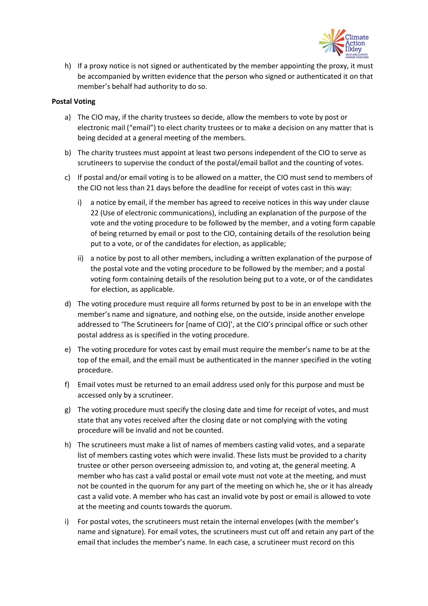

h) If a proxy notice is not signed or authenticated by the member appointing the proxy, it must be accompanied by written evidence that the person who signed or authenticated it on that member's behalf had authority to do so.

#### **Postal Voting**

- a) The CIO may, if the charity trustees so decide, allow the members to vote by post or electronic mail ("email") to elect charity trustees or to make a decision on any matter that is being decided at a general meeting of the members.
- b) The charity trustees must appoint at least two persons independent of the CIO to serve as scrutineers to supervise the conduct of the postal/email ballot and the counting of votes.
- c) If postal and/or email voting is to be allowed on a matter, the CIO must send to members of the CIO not less than 21 days before the deadline for receipt of votes cast in this way:
	- i) a notice by email, if the member has agreed to receive notices in this way under clause 22 (Use of electronic communications), including an explanation of the purpose of the vote and the voting procedure to be followed by the member, and a voting form capable of being returned by email or post to the CIO, containing details of the resolution being put to a vote, or of the candidates for election, as applicable;
	- ii) a notice by post to all other members, including a written explanation of the purpose of the postal vote and the voting procedure to be followed by the member; and a postal voting form containing details of the resolution being put to a vote, or of the candidates for election, as applicable.
- d) The voting procedure must require all forms returned by post to be in an envelope with the member's name and signature, and nothing else, on the outside, inside another envelope addressed to 'The Scrutineers for [name of CIO]', at the CIO's principal office or such other postal address as is specified in the voting procedure.
- e) The voting procedure for votes cast by email must require the member's name to be at the top of the email, and the email must be authenticated in the manner specified in the voting procedure.
- f) Email votes must be returned to an email address used only for this purpose and must be accessed only by a scrutineer.
- g) The voting procedure must specify the closing date and time for receipt of votes, and must state that any votes received after the closing date or not complying with the voting procedure will be invalid and not be counted.
- h) The scrutineers must make a list of names of members casting valid votes, and a separate list of members casting votes which were invalid. These lists must be provided to a charity trustee or other person overseeing admission to, and voting at, the general meeting. A member who has cast a valid postal or email vote must not vote at the meeting, and must not be counted in the quorum for any part of the meeting on which he, she or it has already cast a valid vote. A member who has cast an invalid vote by post or email is allowed to vote at the meeting and counts towards the quorum.
- i) For postal votes, the scrutineers must retain the internal envelopes (with the member's name and signature). For email votes, the scrutineers must cut off and retain any part of the email that includes the member's name. In each case, a scrutineer must record on this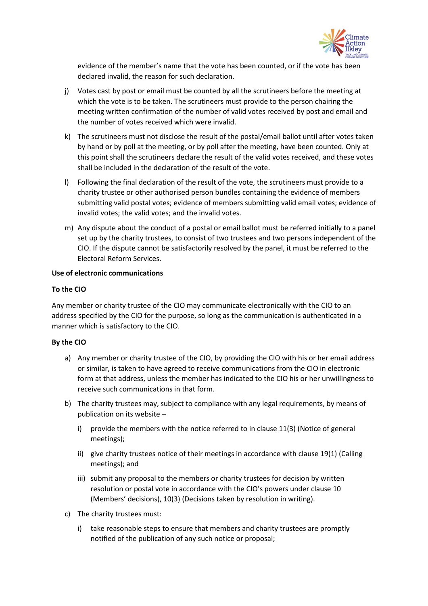

evidence of the member's name that the vote has been counted, or if the vote has been declared invalid, the reason for such declaration.

- j) Votes cast by post or email must be counted by all the scrutineers before the meeting at which the vote is to be taken. The scrutineers must provide to the person chairing the meeting written confirmation of the number of valid votes received by post and email and the number of votes received which were invalid.
- k) The scrutineers must not disclose the result of the postal/email ballot until after votes taken by hand or by poll at the meeting, or by poll after the meeting, have been counted. Only at this point shall the scrutineers declare the result of the valid votes received, and these votes shall be included in the declaration of the result of the vote.
- l) Following the final declaration of the result of the vote, the scrutineers must provide to a charity trustee or other authorised person bundles containing the evidence of members submitting valid postal votes; evidence of members submitting valid email votes; evidence of invalid votes; the valid votes; and the invalid votes.
- m) Any dispute about the conduct of a postal or email ballot must be referred initially to a panel set up by the charity trustees, to consist of two trustees and two persons independent of the CIO. If the dispute cannot be satisfactorily resolved by the panel, it must be referred to the Electoral Reform Services.

#### **Use of electronic communications**

#### **To the CIO**

Any member or charity trustee of the CIO may communicate electronically with the CIO to an address specified by the CIO for the purpose, so long as the communication is authenticated in a manner which is satisfactory to the CIO.

#### **By the CIO**

- a) Any member or charity trustee of the CIO, by providing the CIO with his or her email address or similar, is taken to have agreed to receive communications from the CIO in electronic form at that address, unless the member has indicated to the CIO his or her unwillingness to receive such communications in that form.
- b) The charity trustees may, subject to compliance with any legal requirements, by means of publication on its website –
	- i) provide the members with the notice referred to in clause 11(3) (Notice of general meetings);
	- ii) give charity trustees notice of their meetings in accordance with clause 19(1) (Calling meetings); and
	- iii) submit any proposal to the members or charity trustees for decision by written resolution or postal vote in accordance with the CIO's powers under clause 10 (Members' decisions), 10(3) (Decisions taken by resolution in writing).
- c) The charity trustees must:
	- i) take reasonable steps to ensure that members and charity trustees are promptly notified of the publication of any such notice or proposal;